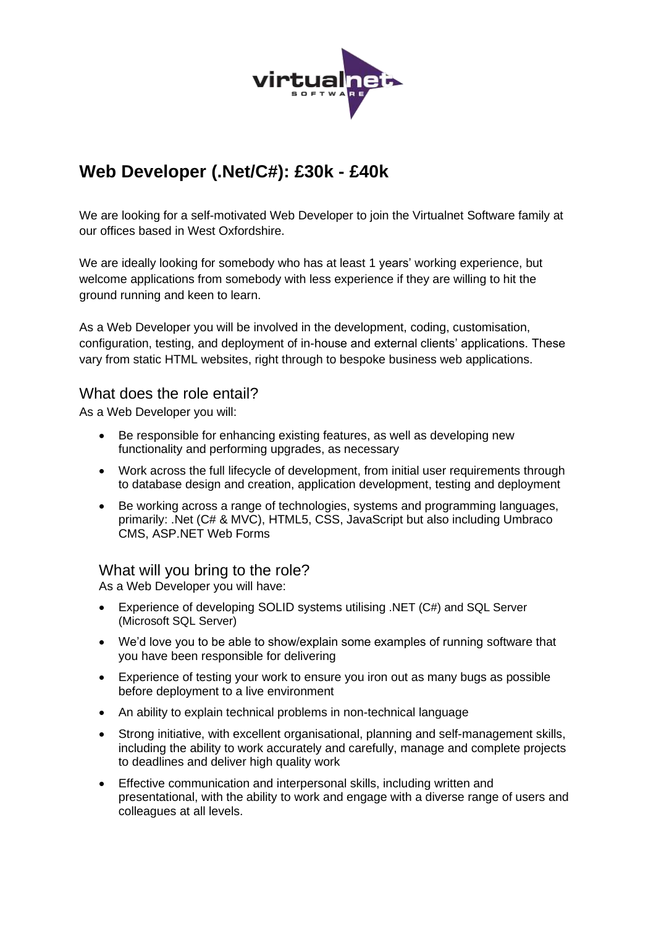

# **Web Developer (.Net/C#): £30k - £40k**

We are looking for a self-motivated Web Developer to join the Virtualnet Software family at our offices based in West Oxfordshire.

We are ideally looking for somebody who has at least 1 years' working experience, but welcome applications from somebody with less experience if they are willing to hit the ground running and keen to learn.

As a Web Developer you will be involved in the development, coding, customisation, configuration, testing, and deployment of in-house and external clients' applications. These vary from static HTML websites, right through to bespoke business web applications.

#### What does the role entail?

As a Web Developer you will:

- Be responsible for enhancing existing features, as well as developing new functionality and performing upgrades, as necessary
- Work across the full lifecycle of development, from initial user requirements through to database design and creation, application development, testing and deployment
- Be working across a range of technologies, systems and programming languages, primarily: .Net (C# & MVC), HTML5, CSS, JavaScript but also including Umbraco CMS, ASP.NET Web Forms

#### What will you bring to the role?

As a Web Developer you will have:

- Experience of developing SOLID systems utilising .NET (C#) and SQL Server (Microsoft SQL Server)
- We'd love you to be able to show/explain some examples of running software that you have been responsible for delivering
- Experience of testing your work to ensure you iron out as many bugs as possible before deployment to a live environment
- An ability to explain technical problems in non-technical language
- Strong initiative, with excellent organisational, planning and self-management skills, including the ability to work accurately and carefully, manage and complete projects to deadlines and deliver high quality work
- Effective communication and interpersonal skills, including written and presentational, with the ability to work and engage with a diverse range of users and colleagues at all levels.